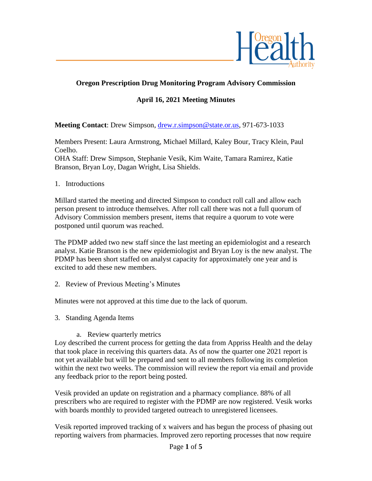

# **Oregon Prescription Drug Monitoring Program Advisory Commission**

# **April 16, 2021 Meeting Minutes**

**Meeting Contact**: Drew Simpson, [drew.r.simpson@state.or.us,](mailto:drew.r.simpson@state.or.us) 971-673-1033

Members Present: Laura Armstrong, Michael Millard, Kaley Bour, Tracy Klein, Paul Coelho.

OHA Staff: Drew Simpson, Stephanie Vesik, Kim Waite, Tamara Ramirez, Katie Branson, Bryan Loy, Dagan Wright, Lisa Shields.

1. Introductions

Millard started the meeting and directed Simpson to conduct roll call and allow each person present to introduce themselves. After roll call there was not a full quorum of Advisory Commission members present, items that require a quorum to vote were postponed until quorum was reached.

The PDMP added two new staff since the last meeting an epidemiologist and a research analyst. Katie Branson is the new epidemiologist and Bryan Loy is the new analyst. The PDMP has been short staffed on analyst capacity for approximately one year and is excited to add these new members.

2. Review of Previous Meeting's Minutes

Minutes were not approved at this time due to the lack of quorum.

- 3. Standing Agenda Items
	- a. Review quarterly metrics

Loy described the current process for getting the data from Appriss Health and the delay that took place in receiving this quarters data. As of now the quarter one 2021 report is not yet available but will be prepared and sent to all members following its completion within the next two weeks. The commission will review the report via email and provide any feedback prior to the report being posted.

Vesik provided an update on registration and a pharmacy compliance. 88% of all prescribers who are required to register with the PDMP are now registered. Vesik works with boards monthly to provided targeted outreach to unregistered licensees.

Vesik reported improved tracking of x waivers and has begun the process of phasing out reporting waivers from pharmacies. Improved zero reporting processes that now require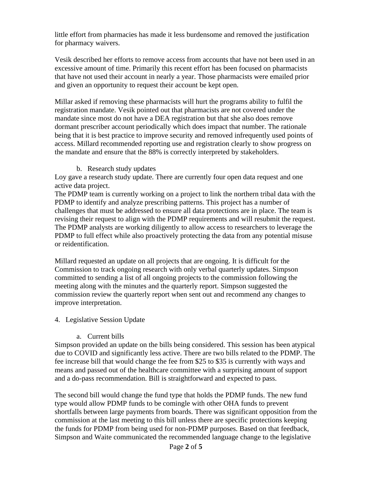little effort from pharmacies has made it less burdensome and removed the justification for pharmacy waivers.

Vesik described her efforts to remove access from accounts that have not been used in an excessive amount of time. Primarily this recent effort has been focused on pharmacists that have not used their account in nearly a year. Those pharmacists were emailed prior and given an opportunity to request their account be kept open.

Millar asked if removing these pharmacists will hurt the programs ability to fulfil the registration mandate. Vesik pointed out that pharmacists are not covered under the mandate since most do not have a DEA registration but that she also does remove dormant prescriber account periodically which does impact that number. The rationale being that it is best practice to improve security and removed infrequently used points of access. Millard recommended reporting use and registration clearly to show progress on the mandate and ensure that the 88% is correctly interpreted by stakeholders.

b. Research study updates

Loy gave a research study update. There are currently four open data request and one active data project.

The PDMP team is currently working on a project to link the northern tribal data with the PDMP to identify and analyze prescribing patterns. This project has a number of challenges that must be addressed to ensure all data protections are in place. The team is revising their request to align with the PDMP requirements and will resubmit the request. The PDMP analysts are working diligently to allow access to researchers to leverage the PDMP to full effect while also proactively protecting the data from any potential misuse or reidentification.

Millard requested an update on all projects that are ongoing. It is difficult for the Commission to track ongoing research with only verbal quarterly updates. Simpson committed to sending a list of all ongoing projects to the commission following the meeting along with the minutes and the quarterly report. Simpson suggested the commission review the quarterly report when sent out and recommend any changes to improve interpretation.

### 4. Legislative Session Update

#### a. Current bills

Simpson provided an update on the bills being considered. This session has been atypical due to COVID and significantly less active. There are two bills related to the PDMP. The fee increase bill that would change the fee from \$25 to \$35 is currently with ways and means and passed out of the healthcare committee with a surprising amount of support and a do-pass recommendation. Bill is straightforward and expected to pass.

The second bill would change the fund type that holds the PDMP funds. The new fund type would allow PDMP funds to be comingle with other OHA funds to prevent shortfalls between large payments from boards. There was significant opposition from the commission at the last meeting to this bill unless there are specific protections keeping the funds for PDMP from being used for non-PDMP purposes. Based on that feedback, Simpson and Waite communicated the recommended language change to the legislative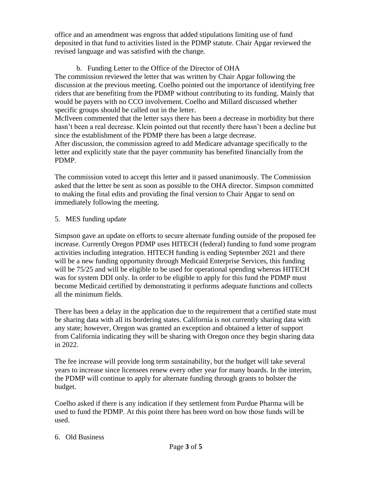office and an amendment was engross that added stipulations limiting use of fund deposited in that fund to activities listed in the PDMP statute. Chair Apgar reviewed the revised language and was satisfied with the change.

## b. Funding Letter to the Office of the Director of OHA

The commission reviewed the letter that was written by Chair Apgar following the discussion at the previous meeting. Coelho pointed out the importance of identifying free riders that are benefiting from the PDMP without contributing to its funding. Mainly that would be payers with no CCO involvement. Coelho and Millard discussed whether specific groups should be called out in the letter.

McIlveen commented that the letter says there has been a decrease in morbidity but there hasn't been a real decrease. Klein pointed out that recently there hasn't been a decline but since the establishment of the PDMP there has been a large decrease.

After discussion, the commission agreed to add Medicare advantage specifically to the letter and explicitly state that the payer community has benefited financially from the PDMP.

The commission voted to accept this letter and it passed unanimously. The Commission asked that the letter be sent as soon as possible to the OHA director. Simpson committed to making the final edits and providing the final version to Chair Apgar to send on immediately following the meeting.

## 5. MES funding update

Simpson gave an update on efforts to secure alternate funding outside of the proposed fee increase. Currently Oregon PDMP uses HITECH (federal) funding to fund some program activities including integration. HITECH funding is ending September 2021 and there will be a new funding opportunity through Medicaid Enterprise Services, this funding will be 75/25 and will be eligible to be used for operational spending whereas HITECH was for system DDI only. In order to be eligible to apply for this fund the PDMP must become Medicaid certified by demonstrating it performs adequate functions and collects all the minimum fields.

There has been a delay in the application due to the requirement that a certified state must be sharing data with all its bordering states. California is not currently sharing data with any state; however, Oregon was granted an exception and obtained a letter of support from California indicating they will be sharing with Oregon once they begin sharing data in 2022.

The fee increase will provide long term sustainability, but the budget will take several years to increase since licensees renew every other year for many boards. In the interim, the PDMP will continue to apply for alternate funding through grants to bolster the budget.

Coelho asked if there is any indication if they settlement from Purdue Pharma will be used to fund the PDMP. At this point there has been word on how those funds will be used.

## 6. Old Business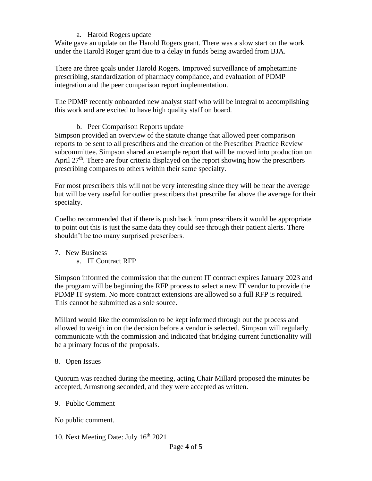### a. Harold Rogers update

Waite gave an update on the Harold Rogers grant. There was a slow start on the work under the Harold Roger grant due to a delay in funds being awarded from BJA.

There are three goals under Harold Rogers. Improved surveillance of amphetamine prescribing, standardization of pharmacy compliance, and evaluation of PDMP integration and the peer comparison report implementation.

The PDMP recently onboarded new analyst staff who will be integral to accomplishing this work and are excited to have high quality staff on board.

b. Peer Comparison Reports update

Simpson provided an overview of the statute change that allowed peer comparison reports to be sent to all prescribers and the creation of the Prescriber Practice Review subcommittee. Simpson shared an example report that will be moved into production on April 27<sup>th</sup>. There are four criteria displayed on the report showing how the prescribers prescribing compares to others within their same specialty.

For most prescribers this will not be very interesting since they will be near the average but will be very useful for outlier prescribers that prescribe far above the average for their specialty.

Coelho recommended that if there is push back from prescribers it would be appropriate to point out this is just the same data they could see through their patient alerts. There shouldn't be too many surprised prescribers.

- 7. New Business
	- a. IT Contract RFP

Simpson informed the commission that the current IT contract expires January 2023 and the program will be beginning the RFP process to select a new IT vendor to provide the PDMP IT system. No more contract extensions are allowed so a full RFP is required. This cannot be submitted as a sole source.

Millard would like the commission to be kept informed through out the process and allowed to weigh in on the decision before a vendor is selected. Simpson will regularly communicate with the commission and indicated that bridging current functionality will be a primary focus of the proposals.

### 8. Open Issues

Quorum was reached during the meeting, acting Chair Millard proposed the minutes be accepted, Armstrong seconded, and they were accepted as written.

9. Public Comment

No public comment.

10. Next Meeting Date: July 16<sup>th</sup> 2021